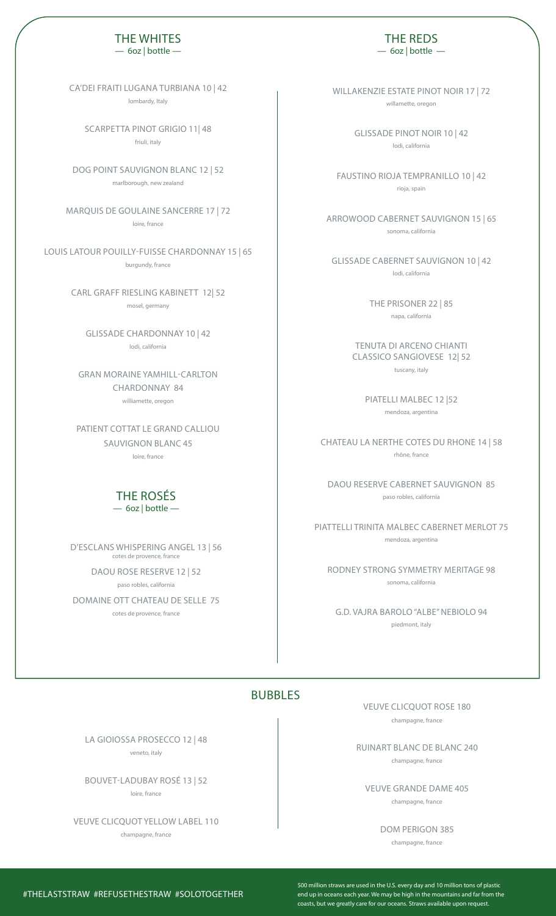# THE WHITES

— 6oz | bottle —

CA'DEI FRAITI LUGANA TURBIANA 10 | 42 lombardy, Italy

SCARPETTA PINOT GRIGIO 11| 48 friuli, italy

DOG POINT SAUVIGNON BLANC 12 | 52 marlborough, new zealand

MARQUIS DE GOULAINE SANCERRE 17 | 72 loire, france

LOUIS LATOUR POUILLY-FUISSE CHARDONNAY 15 | 65 burgundy, france

> CARL GRAFF RIESLING KABINETT 12| 52 mosel, germany

GLISSADE CHARDONNAY 10 | 42 lodi, california

GRAN MORAINE YAMHILL-CARLTON CHARDONNAY 84 williamette, oregon

PATIENT COTTAT LE GRAND CALLIOU SAUVIGNON BLANC 45 loire, france

#### THE ROSÉS  $-6$ oz | bottle  $-$

D'ESCLANS WHISPERING ANGEL 13 | 56 cotes de provence, france

DAOU ROSE RESERVE 12 | 52 paso robles, california

DOMAINE OTT CHATEAU DE SELLE 75 cotes de provence, france

THE REDS  $-$  60z | bottle  $-$ 

WILLAKENZIE ESTATE PINOT NOIR 17 | 72 willamette, oregon

> GLISSADE PINOT NOIR 10 | 42 lodi, california

FAUSTINO RIOJA TEMPRANILLO 10 | 42 rioja, spain

ARROWOOD CABERNET SAUVIGNON 15 | 65 sonoma, california

GLISSADE CABERNET SAUVIGNON 10 | 42 lodi, california

> THE PRISONER 22 | 85 napa, california

TENUTA DI ARCENO CHIANTI CLASSICO SANGIOVESE 12| 52 tuscany, italy

PIATELLI MALBEC 12 |52 mendoza, argentina

CHATEAU LA NERTHE COTES DU RHONE 14 | 58 rhône, france

DAOU RESERVE CABERNET SAUVIGNON 85 paso robles, california

PIATTELLI TRINITA MALBEC CABERNET MERLOT 75 mendoza, argentina

RODNEY STRONG SYMMETRY MERITAGE 98 sonoma, california

G.D. VAJRA BAROLO "ALBE" NEBIOLO 94 piedmont, italy

### BUBBLES

VEUVE CLICQUOT ROSE 180 champagne, france

RUINART BLANC DE BLANC 240 champagne, france

VEUVE GRANDE DAME 405 champagne, france

DOM PERIGON 385

champagne, france

LA GIOIOSSA PROSECCO 12 | 48

veneto, italy

BOUVET-LADUBAY ROSÉ 13 | 52 loire, france

VEUVE CLICQUOT YELLOW LABEL 110 champagne, france

500 million straws are used in the U.S. every day and 10 million tons of plastic end up in oceans each year. We may be high in the mountains and far from the coasts, but we greatly care for our oceans. Straws available upon request.